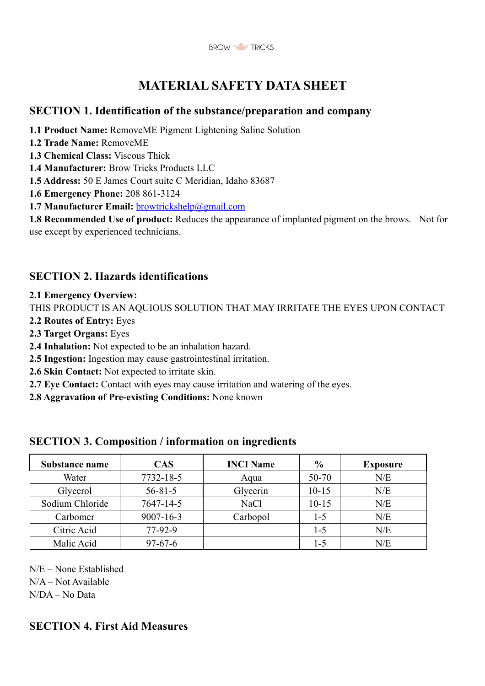

# **MATERIAL SAFETY DATA SHEET**

# **SECTION 1. Identification of the substance/preparation and company**

- **1.1 Product Name:** RemoveME Pigment Lightening Saline Solution
- **1.2 Trade Name:** RemoveME
- **1.3 Chemical Class:** Viscous Thick
- **1.4 Manufacturer:** Brow Tricks Products LLC
- **1.5 Address:** 50 E James Court suite C Meridian, Idaho 83687
- **1.6 Emergency Phone:** 208 861-3124
- **1.7 Manufacturer Email:** browtrickshelp@gmail.com

**1.8 Recommended Use of product:** Reduces the appearance of implanted pigment on the brows. Not for use except by experienced technicians.

# **SECTION 2. Hazards identifications**

#### **2.1 Emergency Overview:**

THIS PRODUCT IS AN AQUIOUS SOLUTION THAT MAY IRRITATE THE EYES UPON CONTACT

- **2.2 Routes of Entry:** Eyes
- **2.3 Target Organs:** Eyes
- **2.4 Inhalation:** Not expected to be an inhalation hazard.
- **2.5 Ingestion:** Ingestion may cause gastrointestinal irritation.
- **2.6 Skin Contact:** Not expected to irritate skin.
- **2.7 Eye Contact:** Contact with eyes may cause irritation and watering of the eyes.
- **2.8 Aggravation of Pre-existing Conditions:** None known

### **SECTION 3. Composition / information on ingredients**

| Substance name  | <b>CAS</b>      | <b>INCI Name</b> | $\frac{0}{0}$ | <b>Exposure</b> |
|-----------------|-----------------|------------------|---------------|-----------------|
| Water           | 7732-18-5       | Aqua             | 50-70         | N/E             |
| Glycerol        | $56 - 81 - 5$   | Glycerin         | $10 - 15$     | N/E             |
| Sodium Chloride | 7647-14-5       | NaCl             | $10 - 15$     | N/E             |
| Carbomer        | $9007 - 16 - 3$ | Carbopol         | $1 - 5$       | N/E             |
| Citric Acid     | $77-92-9$       |                  | $1 - 5$       | N/E             |
| Malic Acid      | $97 - 67 - 6$   |                  | 1-5           | N/E             |

N/E – None Established

N/A – Not Available

N/DA – No Data

# **SECTION 4. First Aid Measures**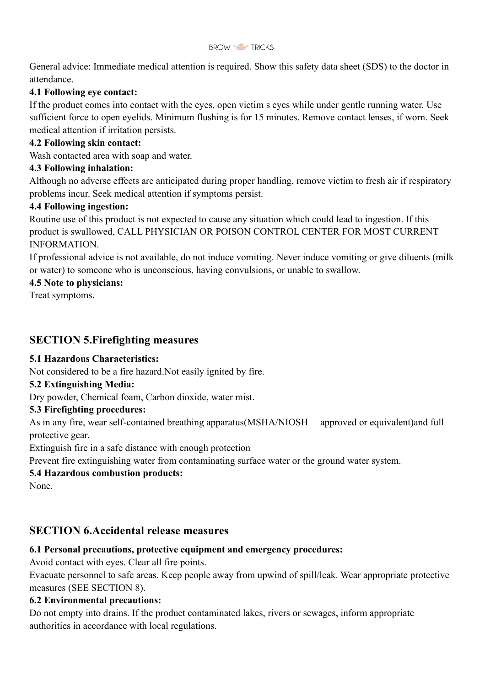

General advice: Immediate medical attention is required. Show this safety data sheet (SDS) to the doctor in attendance.

### **4.1 Following eye contact:**

If the product comes into contact with the eyes, open victim s eyes while under gentle running water. Use sufficient force to open eyelids. Minimum flushing is for 15 minutes. Remove contact lenses, if worn. Seek medical attention if irritation persists.

#### **4.2 Following skin contact:**

Wash contacted area with soap and water.

#### **4.3 Following inhalation:**

Although no adverse effects are anticipated during proper handling, remove victim to fresh air if respiratory problems incur. Seek medical attention if symptoms persist.

#### **4.4 Following ingestion:**

Routine use of this product is not expected to cause any situation which could lead to ingestion. If this product is swallowed, CALL PHYSICIAN OR POISON CONTROL CENTER FOR MOST CURRENT INFORMATION.

If professional advice is not available, do not induce vomiting. Never induce vomiting or give diluents (milk or water) to someone who is unconscious, having convulsions, or unable to swallow.

#### **4.5 Note to physicians:**

Treat symptoms.

# **SECTION 5.Firefighting measures**

#### **5.1 Hazardous Characteristics:**

Not considered to be a fire hazard.Not easily ignited by fire.

#### **5.2 Extinguishing Media:**

Dry powder, Chemical foam, Carbon dioxide, water mist.

#### **5.3 Firefighting procedures:**

As in any fire, wear self-contained breathing apparatus(MSHA/NIOSH approved or equivalent)and full protective gear.

Extinguish fire in a safe distance with enough protection

Prevent fire extinguishing water from contaminating surface water or the ground water system.

#### **5.4 Hazardous combustion products:**

None.

# **SECTION 6.Accidental release measures**

#### **6.1 Personal precautions, protective equipment and emergency procedures:**

Avoid contact with eyes. Clear all fire points.

Evacuate personnel to safe areas. Keep people away from upwind of spill/leak. Wear appropriate protective measures (SEE SECTION 8).

#### **6.2 Environmental precautions:**

Do not empty into drains. If the product contaminated lakes, rivers or sewages, inform appropriate authorities in accordance with local regulations.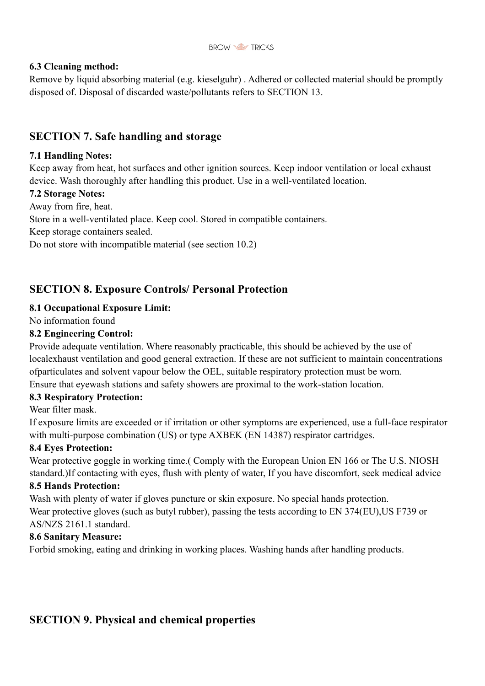

#### **6.3 Cleaning method:**

Remove by liquid absorbing material (e.g. kieselguhr) . Adhered or collected material should be promptly disposed of. Disposal of discarded waste/pollutants refers to SECTION 13.

### **SECTION 7. Safe handling and storage**

#### **7.1 Handling Notes:**

Keep away from heat, hot surfaces and other ignition sources. Keep indoor ventilation or local exhaust device. Wash thoroughly after handling this product. Use in a well-ventilated location.

#### **7.2 Storage Notes:**

Away from fire, heat.

Store in a well-ventilated place. Keep cool. Stored in compatible containers.

Keep storage containers sealed.

Do not store with incompatible material (see section 10.2)

# **SECTION 8. Exposure Controls/ Personal Protection**

### **8.1 Occupational Exposure Limit:**

No information found

### **8.2 Engineering Control:**

Provide adequate ventilation. Where reasonably practicable, this should be achieved by the use of localexhaust ventilation and good general extraction. If these are not sufficient to maintain concentrations ofparticulates and solvent vapour below the OEL, suitable respiratory protection must be worn. Ensure that eyewash stations and safety showers are proximal to the work-station location.

#### **8.3 Respiratory Protection:**

Wear filter mask.

If exposure limits are exceeded or if irritation or other symptoms are experienced, use a full-face respirator with multi-purpose combination (US) or type AXBEK (EN 14387) respirator cartridges.

### **8.4 Eyes Protection:**

Wear protective goggle in working time.( Comply with the European Union EN 166 or The U.S. NIOSH standard.)If contacting with eyes, flush with plenty of water, If you have discomfort, seek medical advice

#### **8.5 Hands Protection:**

Wash with plenty of water if gloves puncture or skin exposure. No special hands protection. Wear protective gloves (such as butyl rubber), passing the tests according to EN 374(EU),US F739 or AS/NZS 2161.1 standard.

#### **8.6 Sanitary Measure:**

Forbid smoking, eating and drinking in working places. Washing hands after handling products.

# **SECTION 9. Physical and chemical properties**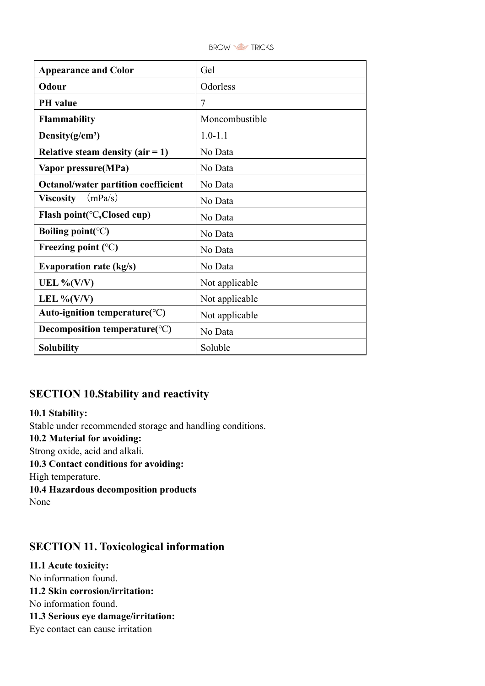

| <b>Appearance and Color</b>                      | Gel            |  |
|--------------------------------------------------|----------------|--|
| Odour                                            | Odorless       |  |
| <b>PH</b> value                                  | 7              |  |
| Flammability                                     | Moncombustible |  |
| Density $(g/cm^3)$                               | $1.0 - 1.1$    |  |
| Relative steam density (air $= 1$ )              | No Data        |  |
| Vapor pressure(MPa)                              | No Data        |  |
| <b>Octanol/water partition coefficient</b>       | No Data        |  |
| (mPa/s)<br><b>Viscosity</b>                      | No Data        |  |
| Flash point( $\mathrm{C}$ , Closed cup)          | No Data        |  |
| Boiling point( ${}^{\circ}C$ )                   | No Data        |  |
| Freezing point $(^{\circ}C)$                     | No Data        |  |
| <b>Evaporation rate (kg/s)</b>                   | No Data        |  |
| UEL % $(V/V)$                                    | Not applicable |  |
| LEL % $(V/V)$                                    | Not applicable |  |
| Auto-ignition temperature( $\mathrm{^{\circ}C})$ | Not applicable |  |
| Decomposition temperature( ${}^{\circ}C$ )       | No Data        |  |
| <b>Solubility</b>                                | Soluble        |  |

# **SECTION 10.Stability and reactivity**

**10.1 Stability:** Stable under recommended storage and handling conditions. **10.2 Material for avoiding:** Strong oxide, acid and alkali. **10.3 Contact conditions for avoiding:** High temperature. **10.4 Hazardous decomposition products** None

# **SECTION 11. Toxicological information**

**11.1 Acute toxicity:** No information found. **11.2 Skin corrosion/irritation:** No information found. **11.3 Serious eye damage/irritation:** Eye contact can cause irritation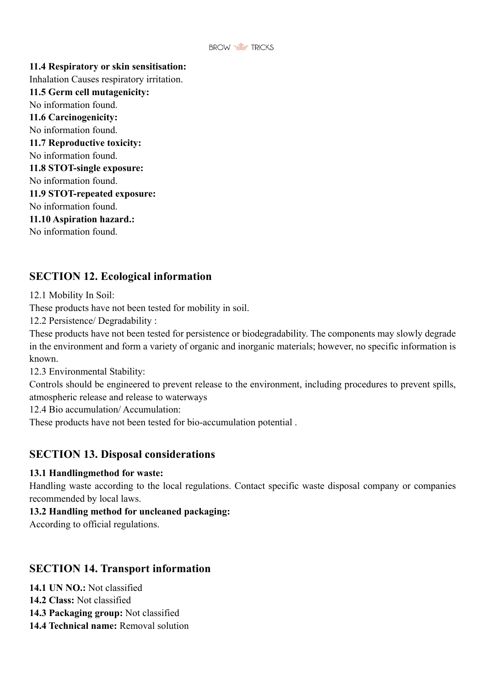

**11.4 Respiratory or skin sensitisation:** Inhalation Causes respiratory irritation. **11.5 Germ cell mutagenicity:** No information found. **11.6 Carcinogenicity:** No information found. **11.7 Reproductive toxicity:** No information found. **11.8 STOT-single exposure:** No information found. **11.9 STOT-repeated exposure:** No information found. **11.10 Aspiration hazard.:** No information found.

# **SECTION 12. Ecological information**

12.1 Mobility In Soil:

These products have not been tested for mobility in soil.

12.2 Persistence/ Degradability :

These products have not been tested for persistence or biodegradability. The components may slowly degrade in the environment and form a variety of organic and inorganic materials; however, no specific information is known.

12.3 Environmental Stability:

Controls should be engineered to prevent release to the environment, including procedures to prevent spills, atmospheric release and release to waterways

12.4 Bio accumulation/ Accumulation:

These products have not been tested for bio-accumulation potential .

### **SECTION 13. Disposal considerations**

#### **13.1 Handlingmethod for waste:**

Handling waste according to the local regulations. Contact specific waste disposal company or companies recommended by local laws.

#### **13.2 Handling method for uncleaned packaging:**

According to official regulations.

# **SECTION 14. Transport information**

**14.1 UN NO.:** Not classified

- **14.2 Class:** Not classified
- **14.3 Packaging group:** Not classified
- **14.4 Technical name:** Removal solution